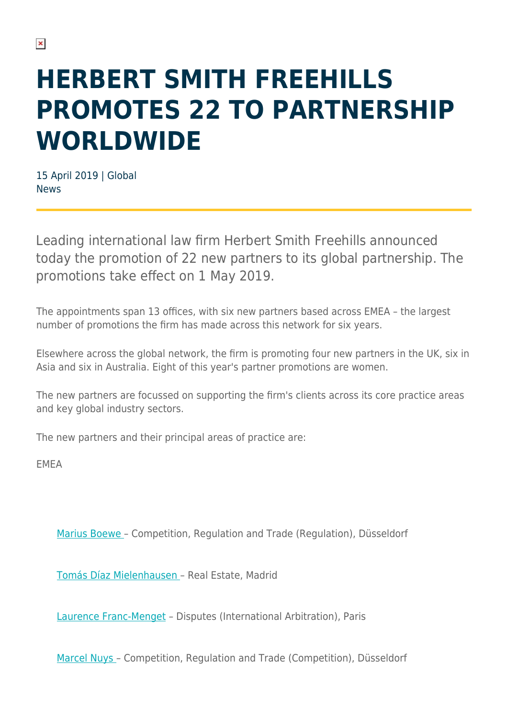# **HERBERT SMITH FREEHILLS PROMOTES 22 TO PARTNERSHIP WORLDWIDE**

15 April 2019 | Global News

Leading international law firm Herbert Smith Freehills announced today the promotion of 22 new partners to its global partnership. The promotions take effect on 1 May 2019.

The appointments span 13 offices, with six new partners based across EMEA – the largest number of promotions the firm has made across this network for six years.

Elsewhere across the global network, the firm is promoting four new partners in the UK, six in Asia and six in Australia. Eight of this year's partner promotions are women.

The new partners are focussed on supporting the firm's clients across its core practice areas and key global industry sectors.

The new partners and their principal areas of practice are:

EMEA

[Marius Boewe](https://www.herbertsmithfreehills.com/our-people/dr-marius-boewe) – Competition, Regulation and Trade (Regulation), Düsseldorf

[Tomás Díaz Mielenhausen](https://www.herbertsmithfreehills.com/our-people/tom%C3%A1s-d%C3%ADaz-mielenhausen) – Real Estate, Madrid

[Laurence Franc-Menget](https://www.herbertsmithfreehills.com/our-people/laurence-franc-menget) – Disputes (International Arbitration), Paris

[Marcel Nuys](https://www.herbertsmithfreehills.com/our-people/dr-marcel-nuys) – Competition, Regulation and Trade (Competition), Düsseldorf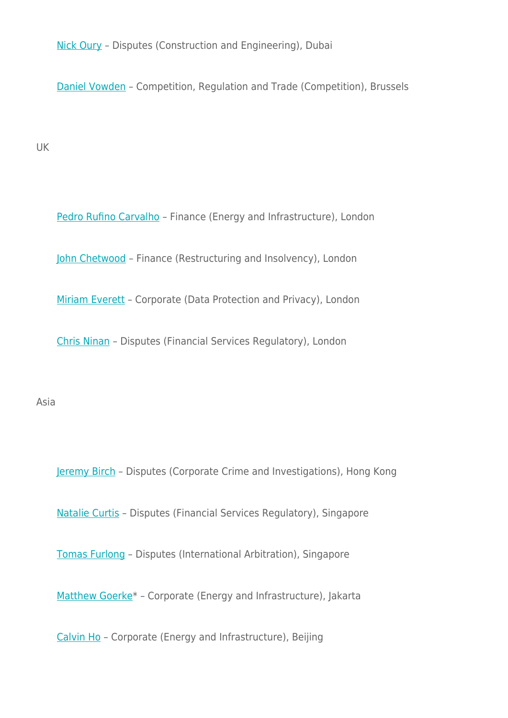[Nick Oury](https://www.herbertsmithfreehills.com/our-people/nick-oury) – Disputes (Construction and Engineering), Dubai

[Daniel Vowden](https://www.herbertsmithfreehills.com/our-people/daniel-vowden) – Competition, Regulation and Trade (Competition), Brussels

UK

[Pedro Rufino Carvalho](https://www.herbertsmithfreehills.com/our-people/pedro-rufino-carvalho) - Finance (Energy and Infrastructure), London

[John Chetwood](https://www.herbertsmithfreehills.com/our-people/john-chetwood) – Finance (Restructuring and Insolvency), London

[Miriam Everett](https://www.herbertsmithfreehills.com/our-people/miriam-everett) - Corporate (Data Protection and Privacy), London

[Chris Ninan](https://www.herbertsmithfreehills.com/our-people/chris-ninan) – Disputes (Financial Services Regulatory), London

Asia

[Jeremy Birch](https://www.herbertsmithfreehills.com/our-people/jeremy-birch) – Disputes (Corporate Crime and Investigations), Hong Kong

[Natalie Curtis](https://www.herbertsmithfreehills.com/our-people/natalie-curtis) – Disputes (Financial Services Regulatory), Singapore

[Tomas Furlong](https://www.herbertsmithfreehills.com/our-people/tomas-furlong) – Disputes (International Arbitration), Singapore

[Matthew Goerke\\*](https://www.herbertsmithfreehills.com/our-people/matthew-goerke) – Corporate (Energy and Infrastructure), Jakarta

[Calvin Ho](https://www.herbertsmithfreehills.com/our-people/calvin-ho) - Corporate (Energy and Infrastructure), Beijing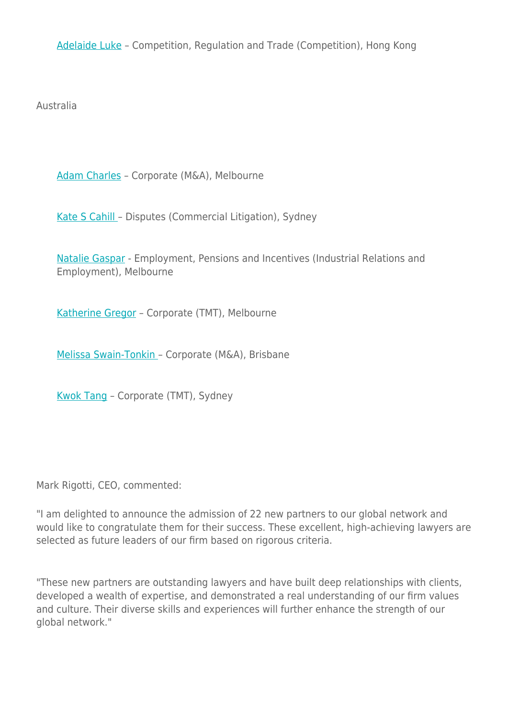[Adelaide Luke](https://www.herbertsmithfreehills.com/our-people/adelaide-luke) – Competition, Regulation and Trade (Competition), Hong Kong

Australia

[Adam Charles](https://www.herbertsmithfreehills.com/our-people/adam-charles) – Corporate (M&A), Melbourne

[Kate S Cahill](https://www.herbertsmithfreehills.com/our-people/kate-s-cahill) – Disputes (Commercial Litigation), Sydney

[Natalie Gaspar](https://www.herbertsmithfreehills.com/our-people/natalie-gaspar) - Employment, Pensions and Incentives (Industrial Relations and Employment), Melbourne

[Katherine Gregor](https://www.herbertsmithfreehills.com/our-people/katherine-gregor) – Corporate (TMT), Melbourne

[Melissa Swain-Tonkin](https://www.herbertsmithfreehills.com/our-people/melissa-swain-tonkin) – Corporate (M&A), Brisbane

[Kwok Tang](https://www.herbertsmithfreehills.com/our-people/kwok-tang) – Corporate (TMT), Sydney

Mark Rigotti, CEO, commented:

"I am delighted to announce the admission of 22 new partners to our global network and would like to congratulate them for their success. These excellent, high-achieving lawyers are selected as future leaders of our firm based on rigorous criteria.

"These new partners are outstanding lawyers and have built deep relationships with clients, developed a wealth of expertise, and demonstrated a real understanding of our firm values and culture. Their diverse skills and experiences will further enhance the strength of our global network."